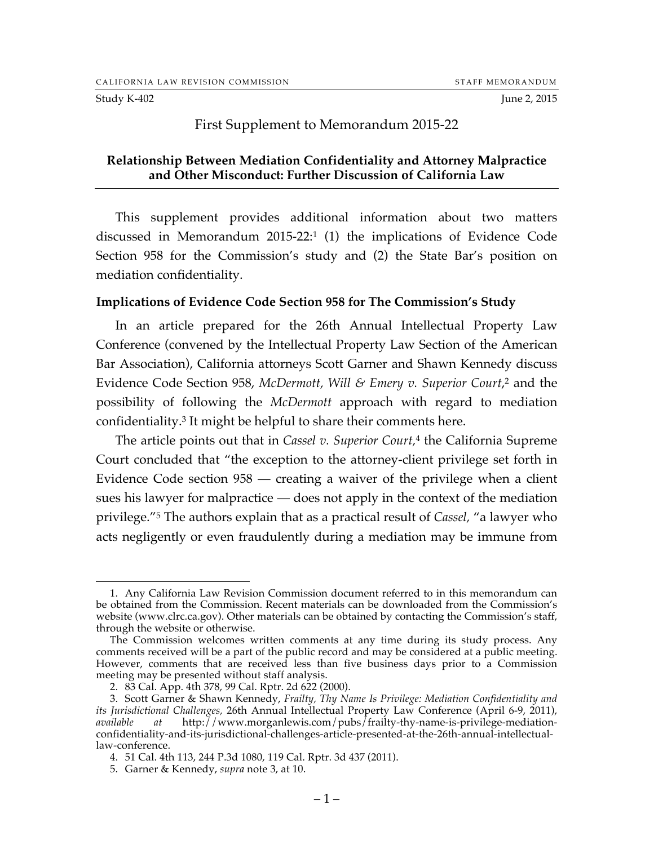#### Study K-402 June 2, 2015

### First Supplement to Memorandum 2015-22

### **Relationship Between Mediation Confidentiality and Attorney Malpractice and Other Misconduct: Further Discussion of California Law**

This supplement provides additional information about two matters discussed in Memorandum 2015-22:1 (1) the implications of Evidence Code Section 958 for the Commission's study and (2) the State Bar's position on mediation confidentiality.

#### **Implications of Evidence Code Section 958 for The Commission's Study**

In an article prepared for the 26th Annual Intellectual Property Law Conference (convened by the Intellectual Property Law Section of the American Bar Association), California attorneys Scott Garner and Shawn Kennedy discuss Evidence Code Section 958, *McDermott, Will & Emery v. Superior Court*, <sup>2</sup> and the possibility of following the *McDermott* approach with regard to mediation confidentiality.3 It might be helpful to share their comments here.

The article points out that in *Cassel v. Superior Court,*<sup>4</sup> the California Supreme Court concluded that "the exception to the attorney-client privilege set forth in Evidence Code section 958 — creating a waiver of the privilege when a client sues his lawyer for malpractice — does not apply in the context of the mediation privilege."5 The authors explain that as a practical result of *Cassel,* "a lawyer who acts negligently or even fraudulently during a mediation may be immune from

 <sup>1.</sup> Any California Law Revision Commission document referred to in this memorandum can be obtained from the Commission. Recent materials can be downloaded from the Commission's website (www.clrc.ca.gov). Other materials can be obtained by contacting the Commission's staff, through the website or otherwise.

The Commission welcomes written comments at any time during its study process. Any comments received will be a part of the public record and may be considered at a public meeting. However, comments that are received less than five business days prior to a Commission meeting may be presented without staff analysis.

<sup>2.</sup> 83 Cal. App. 4th 378, 99 Cal. Rptr. 2d 622 (2000).

<sup>3.</sup> Scott Garner & Shawn Kennedy, *Frailty, Thy Name Is Privilege: Mediation Confidentiality and its Jurisdictional Challenges,* 26th Annual Intellectual Property Law Conference (April 6-9, 2011), *available at* http://www.morganlewis.com/pubs/frailty-thy-name-is-privilege-mediationconfidentiality-and-its-jurisdictional-challenges-article-presented-at-the-26th-annual-intellectuallaw-conference.

<sup>4.</sup> 51 Cal. 4th 113, 244 P.3d 1080, 119 Cal. Rptr. 3d 437 (2011).

<sup>5.</sup> Garner & Kennedy, *supra* note 3, at 10.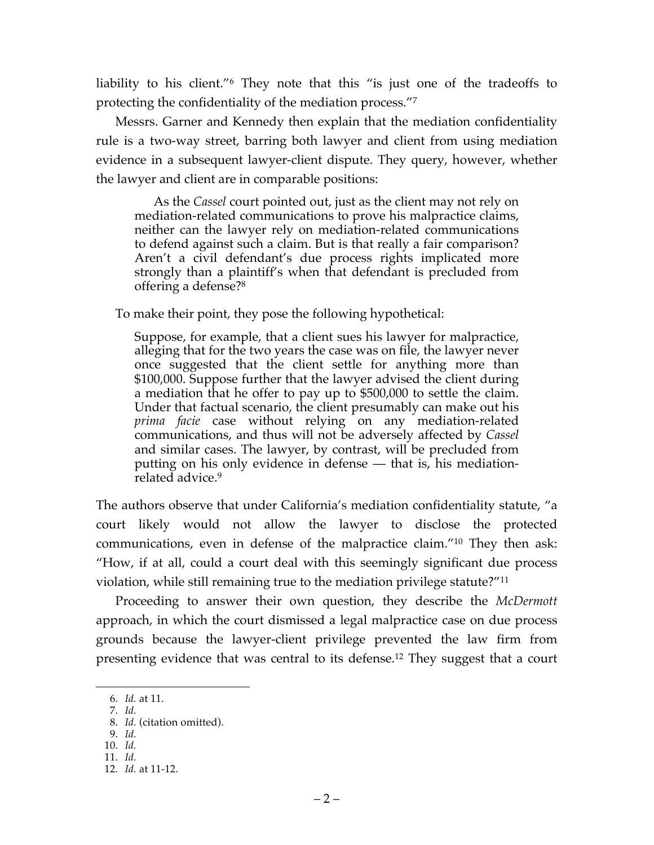liability to his client."<sup>6</sup> They note that this "is just one of the tradeoffs to protecting the confidentiality of the mediation process."7

Messrs. Garner and Kennedy then explain that the mediation confidentiality rule is a two-way street, barring both lawyer and client from using mediation evidence in a subsequent lawyer-client dispute. They query, however, whether the lawyer and client are in comparable positions:

As the *Cassel* court pointed out, just as the client may not rely on mediation-related communications to prove his malpractice claims, neither can the lawyer rely on mediation-related communications to defend against such a claim. But is that really a fair comparison? Aren't a civil defendant's due process rights implicated more strongly than a plaintiff's when that defendant is precluded from offering a defense?8

To make their point, they pose the following hypothetical:

Suppose, for example, that a client sues his lawyer for malpractice, alleging that for the two years the case was on file, the lawyer never once suggested that the client settle for anything more than \$100,000. Suppose further that the lawyer advised the client during a mediation that he offer to pay up to \$500,000 to settle the claim. Under that factual scenario, the client presumably can make out his prima facie case without relying on any mediation-related communications, and thus will not be adversely affected by *Cassel*  and similar cases. The lawyer, by contrast, will be precluded from putting on his only evidence in defense — that is, his mediationrelated advice.<sup>9</sup>

The authors observe that under California's mediation confidentiality statute, "a court likely would not allow the lawyer to disclose the protected communications, even in defense of the malpractice claim."10 They then ask: "How, if at all, could a court deal with this seemingly significant due process violation, while still remaining true to the mediation privilege statute?"11

Proceeding to answer their own question, they describe the *McDermott*  approach, in which the court dismissed a legal malpractice case on due process grounds because the lawyer-client privilege prevented the law firm from presenting evidence that was central to its defense.12 They suggest that a court

 <sup>6.</sup> *Id.* at 11.

<sup>7.</sup> *Id.*

<sup>8.</sup> *Id.* (citation omitted).

<sup>9.</sup> *Id.* 10. *Id.*

<sup>11.</sup> *Id.*

<sup>12.</sup> *Id.* at 11-12.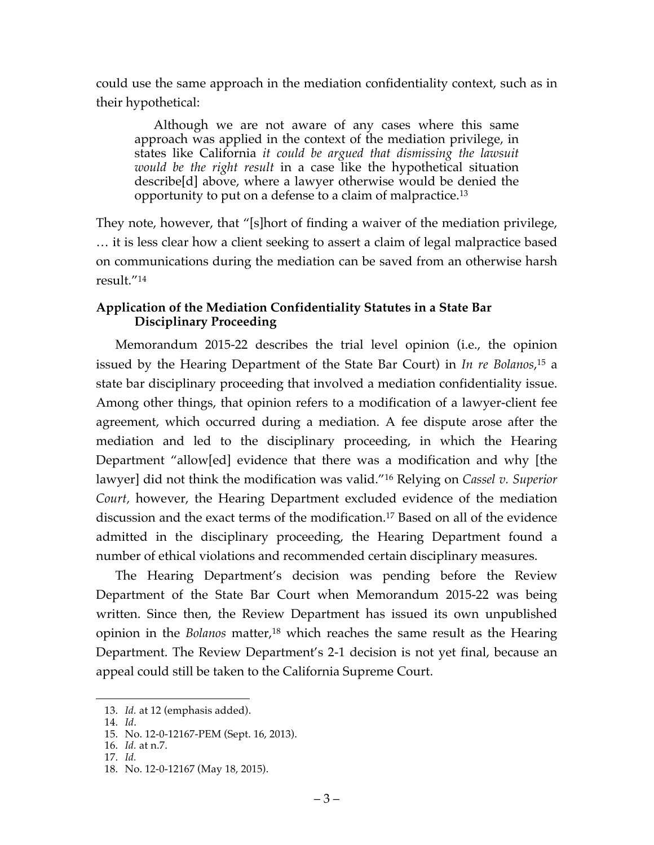could use the same approach in the mediation confidentiality context, such as in their hypothetical:

Although we are not aware of any cases where this same approach was applied in the context of the mediation privilege, in states like California *it could be argued that dismissing the lawsuit would be the right result* in a case like the hypothetical situation describe[d] above, where a lawyer otherwise would be denied the opportunity to put on a defense to a claim of malpractice.13

They note, however, that "[s]hort of finding a waiver of the mediation privilege, … it is less clear how a client seeking to assert a claim of legal malpractice based on communications during the mediation can be saved from an otherwise harsh result."14

# **Application of the Mediation Confidentiality Statutes in a State Bar Disciplinary Proceeding**

Memorandum 2015-22 describes the trial level opinion (i.e., the opinion issued by the Hearing Department of the State Bar Court) in *In re Bolanos*, <sup>15</sup> a state bar disciplinary proceeding that involved a mediation confidentiality issue. Among other things, that opinion refers to a modification of a lawyer-client fee agreement, which occurred during a mediation. A fee dispute arose after the mediation and led to the disciplinary proceeding, in which the Hearing Department "allow[ed] evidence that there was a modification and why [the lawyer] did not think the modification was valid."16 Relying on *Cassel v. Superior Court,* however, the Hearing Department excluded evidence of the mediation discussion and the exact terms of the modification.17 Based on all of the evidence admitted in the disciplinary proceeding, the Hearing Department found a number of ethical violations and recommended certain disciplinary measures.

The Hearing Department's decision was pending before the Review Department of the State Bar Court when Memorandum 2015-22 was being written. Since then, the Review Department has issued its own unpublished opinion in the *Bolanos* matter, <sup>18</sup> which reaches the same result as the Hearing Department. The Review Department's 2-1 decision is not yet final, because an appeal could still be taken to the California Supreme Court.

 <sup>13.</sup> *Id.* at 12 (emphasis added).

<sup>14.</sup> *Id*.

<sup>15.</sup> No. 12-0-12167-PEM (Sept. 16, 2013).

<sup>16.</sup> *Id.* at n.7. 17. *Id.*

<sup>18.</sup> No. 12-0-12167 (May 18, 2015).